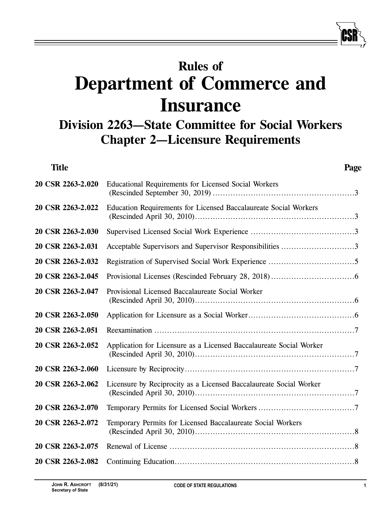# **Rules of Department of Commerce and Insurance**

# **Division 2263—State Committee for Social Workers Chapter 2—Licensure Requirements**

| <b>Title</b>      | Page                                                                |
|-------------------|---------------------------------------------------------------------|
| 20 CSR 2263-2.020 | Educational Requirements for Licensed Social Workers                |
| 20 CSR 2263-2.022 | Education Requirements for Licensed Baccalaureate Social Workers    |
| 20 CSR 2263-2.030 |                                                                     |
| 20 CSR 2263-2.031 | Acceptable Supervisors and Supervisor Responsibilities 3            |
| 20 CSR 2263-2.032 |                                                                     |
| 20 CSR 2263-2.045 |                                                                     |
| 20 CSR 2263-2.047 | Provisional Licensed Baccalaureate Social Worker                    |
| 20 CSR 2263-2.050 |                                                                     |
| 20 CSR 2263-2.051 |                                                                     |
| 20 CSR 2263-2.052 | Application for Licensure as a Licensed Baccalaureate Social Worker |
| 20 CSR 2263-2.060 |                                                                     |
| 20 CSR 2263-2.062 | Licensure by Reciprocity as a Licensed Baccalaureate Social Worker  |
| 20 CSR 2263-2.070 |                                                                     |
| 20 CSR 2263-2.072 | Temporary Permits for Licensed Baccalaureate Social Workers         |
| 20 CSR 2263-2.075 |                                                                     |
| 20 CSR 2263-2.082 |                                                                     |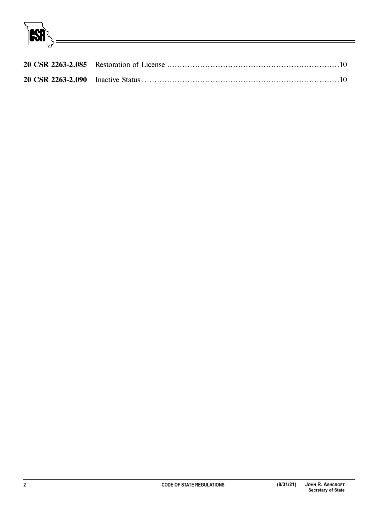**CSR**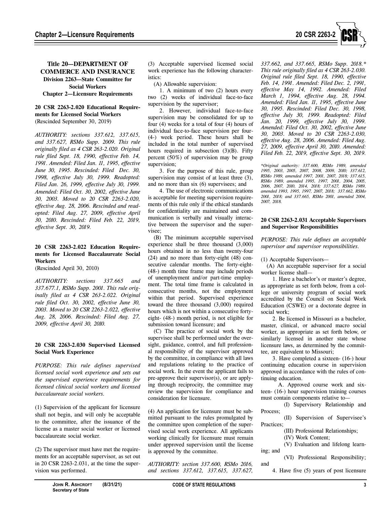

# **Title 20—DEPARTMENT OF COMMERCE AND INSURANCE Division 2263—State Committee for Social Workers Chapter 2—Licensure Requirements**

# **20 CSR 2263-2.020 Educational Requirements for Licensed Social Workers**  (Rescinded September 30, 2019)

*AUTHORITY: sections 337.612, 337.615, and 337.627, RSMo Supp. 2009. This rule originally filed as 4 CSR 263-2.020. Original rule filed Sept. 18, 1990, effective Feb. 14, 1991. Amended: Filed Jan. 11, 1995, effective June 30, 1995. Rescinded: Filed Dec. 30, 1998, effective July 30, 1999. Readopted: Filed Jan. 26, 1999, effective July 30, 1999. Amended: Filed Oct. 30, 2002, effective June 30, 2003. Moved to 20 CSR 2263-2.020, effective Aug. 28, 2006. Rescinded and readopted: Filed Aug. 27, 2009, effective April 30, 2010. Rescinded: Filed Feb. 22, 2019, effective Sept. 30, 2019.* 

# **20 CSR 2263-2.022 Education Requirements for Licensed Baccalaureate Social Workers**

(Rescinded April 30, 2010)

*AUTHORITY: sections 337.665 and 337.677.1, RSMo Supp. 2001. This rule originally filed as 4 CSR 263-2.022. Original rule filed Oct. 30, 2002, effective June 30, 2003. Moved to 20 CSR 2263-2.022, effective Aug. 28, 2006. Rescinded: Filed Aug. 27, 2009, effective April 30, 2010.* 

# **20 CSR 2263-2.030 Supervised Licensed Social Work Experience**

*PURPOSE: This rule defines supervised licensed social work experience and sets out the supervised experience requirements for licensed clinical social workers and licensed baccalaureate social workers.* 

(1) Supervision of the applicant for licensure shall not begin, and will only be acceptable to the committee, after the issuance of the license as a master social worker or licensed baccalaureate social worker.

(2) The supervisor must have met the requirements for an acceptable supervisor, as set out in 20 CSR 2263-2.031, at the time the supervision was performed.

(3) Acceptable supervised licensed social work experience has the following characteristics:

(A) Allowable supervision:

1. A minimum of two (2) hours every two (2) weeks of individual face-to-face supervision by the supervisor;

2. However, individual face-to-face supervision may be consolidated for up to four (4) weeks for a total of four (4) hours of individual face-to-face supervision per four- (4-) week period. These hours shall be included in the total number of supervised hours required in subsection  $(3)(B)$ . Fifty percent (50%) of supervision may be group supervision;

3. For the purpose of this rule, group supervision may consist of at least three (3), and no more than six (6) supervisees; and

4. The use of electronic communications is acceptable for meeting supervision requirements of this rule only if the ethical standards for confidentiality are maintained and communication is verbally and visually interactive between the supervisor and the supervisee;

(B) The minimum acceptable supervised experience shall be three thousand (3,000) hours obtained in no less than twenty-four (24) and no more than forty-eight (48) consecutive calendar months. The forty-eight- (48-) month time frame may include periods of unemployment and/or part-time employment. The total time frame is calculated in consecutive months, not the employment within that period. Supervised experience toward the three thousand (3,000) required hours which is not within a consecutive fortyeight- (48-) month period, is not eligible for submission toward licensure; and

(C) The practice of social work by the supervisee shall be performed under the oversight, guidance, control, and full professional responsibility of the supervisor approved by the committee, in compliance with all laws and regulations relating to the practice of social work. In the event the applicant fails to pre-approve their supervisor(s), or are applying through reciprocity, the committee may review the supervision for compliance and consideration for licensure.

(4) An application for licensure must be submitted pursuant to the rules promulgated by the committee upon completion of the supervised social work experience. All applicants working clinically for licensure must remain under approved supervision until the license is approved by the committee.

*AUTHORITY: section 337.600, RSMo 2016, and sections 337.612, 337.615, 337.627,* 

*337.662, and 337.665, RSMo Supp. 2018.\* This rule originally filed as 4 CSR 263-2.030. Original rule filed Sept. 18, 1990, effective Feb. 14, 1991. Amended: Filed Dec. 2, 1991, effective May 14, 1992. Amended: Filed March 1, 1994, effective Aug. 28, 1994. Amended: Filed Jan. 11, 1995, effective June 30, 1995. Rescinded: Filed Dec. 30, 1998, effective July 30, 1999. Readopted: Filed Jan. 20, 1999, effective July 30, 1999. Amended: Filed Oct. 30, 2002, effective June 30, 2003. Moved to 20 CSR 2263-2.030, effective Aug. 28, 2006. Amended: Filed Aug. 27, 2009, effective April 30, 2010. Amended: Filed Feb. 22, 2019, effective Sept. 30, 2019.* 

*\*Original authority: 337.600, RSMo 1989, amended 1995, 2003, 2005, 2007, 2008, 2009, 2010; 337.612, RSMo 1989, amended 1997, 2001, 2007, 2018; 337.615, RSMo 1989, amended 1995, 1997, 2001, 2004, 2005, 2006, 2007, 2010, 2014, 2018; 337.627, RSMo 1989, amended 1993, 1995, 1997, 2007, 2018; 337.662, RSMo 2001, 2018; and 337.665, RSMo 2001, amended 2004, 2007, 2018.* 

#### **20 CSR 2263-2.031 Acceptable Supervisors and Supervisor Responsibilities**

*PURPOSE: This rule defines an acceptable supervisor and supervisor responsibilities.* 

(1) Acceptable Supervisors—

(A) An acceptable supervisor for a social worker license shall—

1. Have a bachelor's or master's degree, as appropriate as set forth below, from a college or university program of social work accredited by the Council on Social Work Education (CSWE) or a doctorate degree in social work;

2. Be licensed in Missouri as a bachelor, master, clinical, or advanced macro social worker, as appropriate as set forth below, or similarly licensed in another state whose licensure laws, as determined by the committee, are equivalent to Missouri;

3. Have completed a sixteen- (16-) hour continuing education course in supervision approved in accordance with the rules of continuing education.

A. Approved course work and sixteen- (16-) hour supervision training courses must contain components relative to—

(I) Supervisory Relationship and Process;

(II) Supervision of Supervisee's Practices;

(III) Professional Relationships;

(IV) Work Content;

(V) Evaluation and lifelong learning; and

(VI) Professional Responsibility; and

4. Have five (5) years of post licensure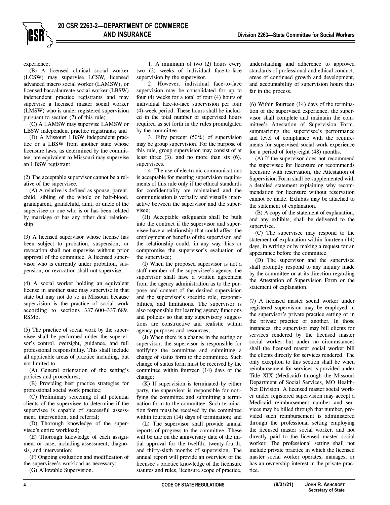experience;

(B) A licensed clinical social worker (LCSW) may supervise LCSW, licensed advanced macro social worker (LAMSW), or licensed baccalaureate social worker (LBSW) independent practice registrants and may supervise a licensed master social worker (LMSW) who is under registered supervision pursuant to section (7) of this rule;

(C) A LAMSW may supervise LAMSW or LBSW independent practice registrants; and

(D) A Missouri LBSW independent practice or a LBSW from another state whose licensure laws, as determined by the committee, are equivalent to Missouri may supervise an LBSW registrant.

(2) The acceptable supervisor cannot be a relative of the supervisee.

(A) A relative is defined as spouse, parent, child, sibling of the whole or half-blood, grandparent, grandchild, aunt, or uncle of the supervisee or one who is or has been related by marriage or has any other dual relationship.

(3) A licensed supervisor whose license has been subject to probation, suspension, or revocation shall not supervise without prior approval of the committee. A licensed supervisor who is currently under probation, suspension, or revocation shall not supervise.

(4) A social worker holding an equivalent license in another state may supervise in that state but may not do so in Missouri because supervision is the practice of social work according to sections 337.600–337.689, RSMo.

(5) The practice of social work by the supervisee shall be performed under the supervisor's control, oversight, guidance, and full professional responsibility. This shall include all applicable areas of practice including, but not limited to:

(A) General orientation of the setting's policies and procedures;

(B) Providing best practice strategies for professional social work practice;

(C) Preliminary screening of all potential clients of the supervisee to determine if the supervisee is capable of successful assessment, intervention, and referral;

(D) Thorough knowledge of the supervisee's entire workload;

(E) Thorough knowledge of each assignment or case, including assessment, diagnosis, and intervention;

(F) Ongoing evaluation and modification of the supervisee's workload as necessary; (G) Allowable Supervision.

communication is verbally and visually interactive between the supervisor and the super-

visee;

(H) Acceptable safeguards shall be built into the contract if the supervisor and supervisee have a relationship that could affect the employment or benefits of the supervisor, and the relationship could, in any way, bias or compromise the supervisor's evaluation of the supervisee;

1. A minimum of two (2) hours every two (2) weeks of individual face-to-face

2. However, individual face-to-face supervision may be consolidated for up to four (4) weeks for a total of four (4) hours of individual face-to-face supervision per four (4)-week period. These hours shall be included in the total number of supervised hours required as set forth in the rules promulgated

3. Fifty percent (50%) of supervision may be group supervision. For the purpose of this rule, group supervision may consist of at least three (3), and no more than six (6),

4. The use of electronic communications is acceptable for meeting supervision requirements of this rule only if the ethical standards for confidentiality are maintained and the

supervision by the supervisor.

by the committee.

supervisees.

(I) When the proposed supervisor is not a staff member of the supervisee's agency, the supervisor shall have a written agreement from the agency administration as to the purpose and content of the desired supervision and the supervisor's specific role, responsibilities, and limitations. The supervisor is also responsible for learning agency functions and policies so that any supervisory suggestions are constructive and realistic within agency purposes and resources;

(J) When there is a change in the setting or supervisor, the supervisor is responsible for notifying the committee and submitting a change of status form to the committee. Such change of status form must be received by the committee within fourteen (14) days of the change;

(K) If supervision is terminated by either party, the supervisor is responsible for notifying the committee and submitting a termination form to the committee. Such termination form must be received by the committee within fourteen (14) days of termination; and

(L) The supervisor shall provide annual reports of progress to the committee. These will be due on the anniversary date of the initial approval for the twelfth, twenty-fourth, and thirty-sixth months of supervision. The annual report will provide an overview of the licensee's practice knowledge of the licensure statutes and rules, licensure scope of practice,

understanding and adherence to approved standards of professional and ethical conduct, areas of continued growth and development, and accountability of supervision hours thus far in the process.

(6) Within fourteen (14) days of the termination of the supervised experience, the supervisor shall complete and maintain the committee's Attestation of Supervision Form, summarizing the supervisee's performance and level of compliance with the requirements for supervised social work experience for a period of forty-eight (48) months.

(A) If the supervisor does not recommend the supervisee for licensure or recommends licensure with reservation, the Attestation of Supervision Form shall be supplemented with a detailed statement explaining why recommendation for licensure without reservation cannot be made. Exhibits may be attached to the statement of explanation.

(B) A copy of the statement of explanation, and any exhibits, shall be delivered to the supervisee.

(C) The supervisee may respond to the statement of explanation within fourteen (14) days, in writing or by making a request for an appearance before the committee.

(D) The supervisor and the supervisee shall promptly respond to any inquiry made by the committee or at its direction regarding the Attestation of Supervision Form or the statement of explanation.

(7) A licensed master social worker under registered supervision may be employed in the supervisor's private practice setting or in the private practice of another. In those instances, the supervisor may bill clients for services rendered by the licensed master social worker but under no circumstances shall the licensed master social worker bill the clients directly for services rendered. The only exception to this section shall be when reimbursement for services is provided under Title XIX (Medicaid) through the Missouri Department of Social Services, MO Health-Net Division. A licensed master social worker under registered supervision may accept a Medicaid reimbursement number and services may be billed through that number, provided such reimbursement is administered through the professional setting employing the licensed master social worker, and not directly paid to the licensed master social worker. The professional setting shall not include private practice in which the licensed master social worker operates, manages, or has an ownership interest in the private practice.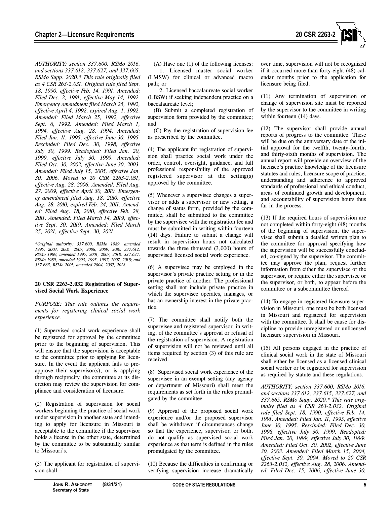

*AUTHORITY: section 337.600, RSMo 2016, and sections 337.612, 337.627, and 337.665, RSMo Supp. 2020.\* This rule originally filed as 4 CSR 263-2.031. Original rule filed Sept. 18, 1990, effective Feb. 14, 1991. Amended: Filed Dec. 2, 1991, effective May 14, 1992. Emergency amendment filed March 25, 1992, effective April 4, 1992, expired Aug. 1, 1992. Amended: Filed March 25, 1992, effective Sept. 6, 1992. Amended: Filed March 1, 1994, effective Aug. 28, 1994. Amended: Filed Jan. 11, 1995, effective June 30, 1995. Rescinded: Filed Dec. 30, 1998, effective July 30, 1999. Readopted: Filed Jan. 20, 1999, effective July 30, 1999. Amended: Filed Oct. 30, 2002, effective June 30, 2003. Amended: Filed July 15, 2005, effective Jan. 30, 2006. Moved to 20 CSR 2263-2.031, effective Aug. 28, 2006. Amended: Filed Aug. 27, 2009, effective April 30, 2010. Emergency amendment filed Aug. 18, 2010, effective Aug. 28, 2010, expired Feb. 24, 2011. Amended: Filed Aug. 18, 2010, effective Feb. 28, 2011. Amended: Filed March 14, 2019, effective Sept. 30, 2019. Amended: Filed March 25, 2021, effective Sept. 30, 2021.* 

*\*Original authority: 337.600, RSMo 1989, amended 1995, 2003, 2005, 2007, 2008, 2009, 2010; 337.612, RSMo 1989, amended 1997, 2001, 2007, 2018; 337.627, RSMo 1989, amended 1993, 1995, 1997, 2007, 2018; and 337.665, RSMo 2001, amended 2004, 2007, 2018.* 

#### **20 CSR 2263-2.032 Registration of Supervised Social Work Experience**

*PURPOSE: This rule outlines the requirements for registering clinical social work experience.* 

(1) Supervised social work experience shall be registered for approval by the committee prior to the beginning of supervision. This will ensure that the supervision is acceptable to the committee prior to applying for licensure. In the event the applicant fails to preapprove their supervisor(s), or is applying through reciprocity, the committee at its discretion may review the supervision for compliance and consideration of licensure.

(2) Registration of supervision for social workers beginning the practice of social work under supervision in another state and intending to apply for licensure in Missouri is acceptable to the committee if the supervisor holds a license in the other state, determined by the committee to be substantially similar to Missouri's.

(3) The applicant for registration of supervision shall—

(A) Have one (1) of the following licenses: 1. Licensed master social worker (LMSW) for clinical or advanced macro path; or

2. Licensed baccalaureate social worker (LBSW) if seeking independent practice on a baccalaureate level;

(B) Submit a completed registration of supervision form provided by the committee; and

(C) Pay the registration of supervision fee as prescribed by the committee.

(4) The applicant for registration of supervision shall practice social work under the order, control, oversight, guidance, and full professional responsibility of the approved registered supervisor at the setting(s) approved by the committee.

(5) Whenever a supervisee changes a supervisor or adds a supervisor or new setting, a change of status form, provided by the committee, shall be submitted to the committee by the supervisee with the registration fee and must be submitted in writing within fourteen (14) days. Failure to submit a change will result in supervision hours not calculated towards the three thousand (3,000) hours of supervised licensed social work experience.

(6) A supervisee may be employed in the supervisor's private practice setting or in the private practice of another. The professional setting shall not include private practice in which the supervisee operates, manages, or has an ownership interest in the private practice.

(7) The committee shall notify both the supervisee and registered supervisor, in writing, of the committee's approval or refusal of the registration of supervision. A registration of supervision will not be reviewed until all items required by section (3) of this rule are received.

(8) Supervised social work experience of the supervisee in an exempt setting (any agency or department of Missouri) shall meet the requirements as set forth in the rules promulgated by the committee.

(9) Approval of the proposed social work experience and/or the proposed supervisor shall be withdrawn if circumstances change so that the experience, supervisor, or both, do not qualify as supervised social work experience as that term is defined in the rules promulgated by the committee.

(10) Because the difficulties in confirming or verifying supervision increase dramatically over time, supervision will not be recognized if it occurred more than forty-eight (48) calendar months prior to the application for licensure being filed.

(11) Any termination of supervision or change of supervision site must be reported by the supervisor to the committee in writing within fourteen (14) days.

(12) The supervisor shall provide annual reports of progress to the committee. These will be due on the anniversary date of the initial approval for the twelfth, twenty-fourth, and thirty-sixth months of supervision. The annual report will provide an overview of the licensee's practice knowledge of the licensure statutes and rules, licensure scope of practice, understanding and adherence to approved standards of professional and ethical conduct, areas of continued growth and development, and accountability of supervision hours thus far in the process.

(13) If the required hours of supervision are not completed within forty-eight (48) months of the beginning of supervision, the supervisee shall submit a detailed written plan to the committee for approval specifying how the supervision will be successfully concluded, co-signed by the supervisor. The committee may approve the plan, request further information from either the supervisee or the supervisor, or require either the supervisee or the supervisor, or both, to appear before the committee or a subcommittee thereof.

(14) To engage in registered licensure supervision in Missouri, one must be both licensed in Missouri and registered for supervision with the committee. It shall be cause for discipline to provide unregistered or unlicensed licensure supervision in Missouri.

(15) All persons engaged in the practice of clinical social work in the state of Missouri shall either be licensed as a licensed clinical social worker or be registered for supervision as required by statute and these regulations.

*AUTHORITY: section 337.600, RSMo 2016, and sections 337.612, 337.615, 337.627, and 337.665, RSMo Supp. 2020.\* This rule originally filed as 4 CSR 263-2.032. Original rule filed Sept. 18, 1990, effective Feb. 14, 1991. Amended: Filed Jan. 11, 1995, effective June 30, 1995. Rescinded: Filed Dec. 30, 1998, effective July 30, 1999. Readopted: Filed Jan. 20, 1999, effective July 30, 1999. Amended: Filed Oct. 30, 2002, effective June 30, 2003. Amended: Filed March 15, 2004, effective Sept. 30, 2004. Moved to 20 CSR 2263-2.032, effective Aug. 28, 2006. Amended: Filed Dec. 15, 2006, effective June 30,*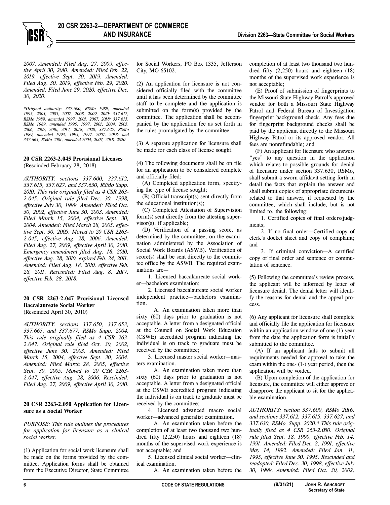*2007. Amended: Filed Aug. 27, 2009, effective April 30, 2010. Amended: Filed Feb. 22, 2019, effective Sept. 30, 2019. Amended: Filed Aug. 30, 2019, effective Feb. 29, 2020. Amended: Filed June 29, 2020, effective Dec. 30, 2020.* 

*\*Original authority: 337.600, RSMo 1989, amended 1995, 2003, 2005, 2007, 2008, 2009, 2010; 337.612, RSMo 1989, amended 1997, 2001, 2007, 2018; 337.615, RSMo 1989, amended 1995, 1997, 2001, 2004, 2005, 2006, 2007, 2010, 2014, 2018, 2020; 337.627, RSMo 1989, amended 1993, 1995, 1997, 2007, 2018; and 337.665, RSMo 2001, amended 2004, 2007, 2018, 2020.* 

#### **20 CSR 2263-2.045 Provisional Licenses**  (Rescinded February 28, 2018)

*AUTHORITY: sections 337.600, 337.612, 337.615, 337.627, and 337.630, RSMo Supp. 2010. This rule originally filed as 4 CSR 263- 2.045. Original rule filed Dec. 30, 1998, effective July 30, 1999. Amended: Filed Oct. 30, 2002, effective June 30, 2003. Amended: Filed March 15, 2004, effective Sept. 30, 2004. Amended: Filed March 28, 2005, effective Sept. 30, 2005. Moved to 20 CSR 2263- 2.045, effective Aug. 28, 2006. Amended: Filed Aug. 27, 2009, effective April 30, 2010. Emergency amendment filed Aug. 18, 2010, effective Aug. 28, 2010, expired Feb. 24, 2011. Amended: Filed Aug. 18, 2010, effective Feb. 28, 2011. Rescinded: Filed Aug. 8, 2017, effective Feb. 28, 2018.* 

#### **20 CSR 2263-2.047 Provisional Licensed Baccalaureate Social Worker**  (Rescinded April 30, 2010)

*AUTHORITY: sections 337.650, 337.653, 337.665, and 337.677, RSMo Supp. 2004. This rule originally filed as 4 CSR 263- 2.047. Original rule filed Oct. 30, 2002, effective June 30, 2003. Amended: Filed March 15, 2004, effective Sept. 30, 2004. Amended: Filed March 28, 2005, effective Sept. 30, 2005. Moved to 20 CSR 2263- 2.047, effective Aug. 28, 2006. Rescinded: Filed Aug. 27, 2009, effective April 30, 2010.* 

#### **20 CSR 2263-2.050 Application for Licensure as a Social Worker**

*PURPOSE: This rule outlines the procedures for application for licensure as a clinical social worker.*

(1) Application for social work licensure shall be made on the forms provided by the committee. Application forms shall be obtained from the Executive Director, State Committee

for Social Workers, PO Box 1335, Jefferson City, MO 65102.

(2) An application for licensure is not considered officially filed with the committee until it has been determined by the committee staff to be complete and the application is submitted on the form(s) provided by the committee. The application shall be accompanied by the application fee as set forth in the rules promulgated by the committee.

(3) A separate application for licensure shall be made for each class of license sought.

(4) The following documents shall be on file for an application to be considered complete and officially filed:

(A) Completed application form, specifying the type of license sought;

(B) Official transcript(s) sent directly from the educational institution(s);

(C) Completed Attestation of Supervision form(s) sent directly from the attesting supervisor(s), if applicable;

(D) Verification of a passing score, as determined by the committee, on the examination administered by the Association of Social Work Boards (ASWB). Verification of score(s) shall be sent directly to the committee office by the ASWB. The required examinations are—

1. Licensed baccalaureate social worker—bachelors examination;

2. Licensed baccalaureate social worker independent practice—bachelors examination.

A. An examination taken more than sixty (60) days prior to graduation is not acceptable. A letter from a designated official at the Council on Social Work Education (CSWE) accredited program indicating the individual is on track to graduate must be received by the committee;

3. Licensed master social worker—masters examination.

A. An examination taken more than sixty (60) days prior to graduation is not acceptable. A letter from a designated official at the CSWE accredited program indicating the individual is on track to graduate must be received by the committee;

4. Licensed advanced macro social worker—advanced generalist examination.

A. An examination taken before the completion of at least two thousand two hundred fifty (2,250) hours and eighteen (18) months of the supervised work experience is not acceptable; and

5. Licensed clinical social worker—clinical examination.

A. An examination taken before the

completion of at least two thousand two hundred fifty (2,250) hours and eighteen (18) months of the supervised work experience is not acceptable;

(E) Proof of submission of fingerprints to the Missouri State Highway Patrol's approved vendor for both a Missouri State Highway Patrol and Federal Bureau of Investigation fingerprint background check. Any fees due for fingerprint background checks shall be paid by the applicant directly to the Missouri Highway Patrol or its approved vendor. All fees are nonrefundable; and

(F) An applicant for licensure who answers "yes" to any question in the application which relates to possible grounds for denial of licensure under section 337.630, RSMo, shall submit a sworn affidavit setting forth in detail the facts that explain the answer and shall submit copies of appropriate documents related to that answer, if requested by the committee, which shall include, but is not limited to, the following:

1. Certified copies of final orders/judgments;

2. If no final order—Certified copy of clerk's docket sheet and copy of complaint; and

3. If criminal conviction—A certified copy of final order and sentence or commutation of sentence.

(5) Following the committee's review process, the applicant will be informed by letter of licensure denial. The denial letter will identify the reasons for denial and the appeal process.

(6) Any applicant for licensure shall complete and officially file the application for licensure within an application window of one (1) year from the date the application form is initially submitted to the committee.

(A) If an applicant fails to submit all requirements needed for approval to take the exam within the one- (1-) year period, then the application will be voided.

(B) Upon completion of the application for licensure, the committee will either approve or disapprove the applicant to sit for the applicable examination.

*AUTHORITY: section 337.600, RSMo 2016, and sections 337.612, 337.615, 337.627, and 337.630, RSMo Supp. 2020.\* This rule originally filed as 4 CSR 263-2.050. Original rule filed Sept. 18, 1990, effective Feb. 14, 1991. Amended: Filed Dec. 2, 1991, effective May 14, 1992. Amended: Filed Jan. 11, 1995, effective June 30, 1995. Rescinded and readopted: Filed Dec. 30, 1998, effective July 30, 1999. Amended: Filed Oct. 30, 2002,*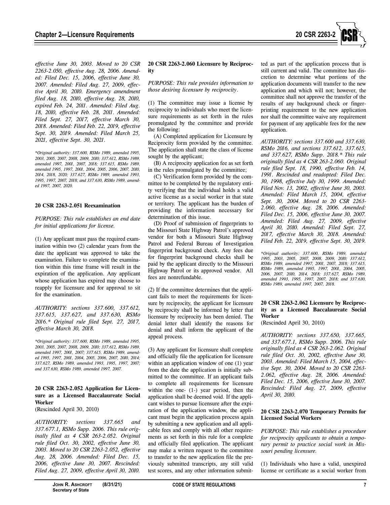

*effective June 30, 2003. Moved to 20 CSR 2263-2.050, effective Aug. 28, 2006. Amended: Filed Dec. 15, 2006, effective June 30, 2007. Amended: Filed Aug. 27, 2009, effective April 30, 2010. Emergency amendment filed Aug. 18, 2010, effective Aug. 28, 2010, expired Feb. 24, 2011. Amended: Filed Aug. 18, 2010, effective Feb. 28, 2011. Amended: Filed Sept. 27, 2017, effective March 30, 2018. Amended: Filed Feb. 22, 2019, effective Sept. 30, 2019. Amended: Filed March 25, 2021, effective Sept. 30, 2021.* 

*\*Original authority: 337.600, RSMo 1989, amended 1995, 2003, 2005, 2007, 2008, 2009, 2010; 337.612, RSMo 1989, amended 1997, 2001, 2007, 2018; 337.615, RSMo 1989, amended 1995, 1997, 2001, 2004, 2005, 2006, 2007, 2010, 2014, 2018, 2020; 337.627, RSMo 1989, amended 1993, 1995, 1997, 2007, 2018; and 337.630, RSMo 1989, amended 1997, 2007, 2020.* 

#### **20 CSR 2263-2.051 Reexamination**

*PURPOSE: This rule establishes an end date for initial applications for license.* 

(1) Any applicant must pass the required examination within two (2) calendar years from the date the applicant was approved to take the examination. Failure to complete the examination within this time frame will result in the expiration of the application. Any applicant whose application has expired may choose to reapply for licensure and for approval to sit for the examination.

*AUTHORITY: sections 337.600, 337.612, 337.615, 337.627, and 337.630, RSMo 2016.\* Original rule filed Sept. 27, 2017, effective March 30, 2018.* 

*\*Original authority: 337.600, RSMo 1989, amended 1995, 2003, 2005, 2007, 2008, 2009, 2010; 337.612, RSMo 1989, amended 1997, 2001, 2007; 337.615, RSMo 1989, amended 1995, 1997, 2001, 2004, 2005, 2006, 2007, 2010, 2014; 337.627, RSMo 1989, amended 1993, 1995, 1997, 2007; and 337.630, RSMo 1989, amended 1997, 2007.* 

# **20 CSR 2263-2.052 Application for Licensure as a Licensed Baccalaureate Social Worker**

(Rescinded April 30, 2010)

*AUTHORITY: sections 337.665 and 337.677.1, RSMo Supp. 2006. This rule originally filed as 4 CSR 263-2.052. Original rule filed Oct. 30, 2002, effective June 30, 2003. Moved to 20 CSR 2263-2.052, effective Aug. 28, 2006. Amended: Filed Dec. 15, 2006, effective June 30, 2007. Rescinded: Filed Aug. 27, 2009, effective April 30, 2010.*

#### **20 CSR 2263-2.060 Licensure by Reciprocity**

*PURPOSE: This rule provides information to those desiring licensure by reciprocity*.

(1) The committee may issue a license by reciprocity to individuals who meet the licensure requirements as set forth in the rules promulgated by the committee and provide the following:

(A) Completed application for Licensure by Reciprocity form provided by the committee. The application shall state the class of license sought by the applicant;

(B) A reciprocity application fee as set forth in the rules promulgated by the committee;

(C) Verification form provided by the committee to be completed by the regulatory entity verifying that the individual holds a valid active license as a social worker in that state or territory. The applicant has the burden of providing the information necessary for determination of this issue.

(D) Proof of submission of fingerprints to the Missouri State Highway Patrol's approved vendor for both a Missouri State Highway Patrol and Federal Bureau of Investigation fingerprint background check. Any fees due for fingerprint background checks shall be paid by the applicant directly to the Missouri Highway Patrol or its approved vendor. All fees are nonrefundable.

(2) If the committee determines that the applicant fails to meet the requirements for licensure by reciprocity, the applicant for licensure by reciprocity shall be informed by letter that licensure by reciprocity has been denied. The denial letter shall identify the reasons for denial and shall inform the applicant of the appeal process.

(3) Any applicant for licensure shall complete and officially file the application for licensure within an application window of one  $(1)$  year from the date the application is initially submitted to the committee. If an applicant fails to complete all requirements for licensure within the one- (1-) year period, then the application shall be deemed void. If the applicant wishes to pursue licensure after the expiration of the application window, the applicant must begin the application process again by submitting a new application and all applicable fees and comply with all other requirements as set forth in this rule for a complete and officially filed application. The applicant may make a written request to the committee to transfer to the new application file the previously submitted transcripts, any still valid test scores, and any other information submitted as part of the application process that is still current and valid. The committee has discretion to determine what portions of the application documents will transfer to the new application and which will not; however, the committee shall not approve the transfer of the results of any background check or fingerprinting requirement to the new application nor shall the committee waive any requirement for payment of any applicable fees for the new application.

*AUTHORITY: sections 337.600 and 337.630, RSMo 2016, and sections 337.612, 337.615, and 337.627, RSMo Supp. 2018.\* This rule originally filed as 4 CSR 263-2.060. Original rule filed Sept. 18, 1990, effective Feb. 14, 1991. Rescinded and readopted: Filed Dec. 30, 1998, effective July 30, 1999. Amended: Filed Nov. 13, 2002, effective June 30, 2003. Amended: Filed March 15, 2004, effective Sept. 30, 2004. Moved to 20 CSR 2263- 2.060, effective Aug. 28, 2006. Amended: Filed Dec. 15, 2006, effective June 30, 2007. Amended: Filed Aug. 27, 2009, effective April 30, 2010. Amended: Filed Sept. 27, 2017, effective March 30, 2018. Amended: Filed Feb. 22, 2019, effective Sept. 30, 2019.* 

*\*Original authority: 337.600, RSMo 1989, amended 1995, 2003, 2005, 2007, 2008, 2009, 2010; 337.612, RSMo 1989, amended 1997, 2001, 2007, 2018; 337.615, RSMo 1989, amended 1995, 1997, 2001, 2004, 2005, 2006, 2007, 2010, 2014, 2018; 337.627, RSMo 1989, amended 1993, 1995, 1997, 2007, 2018; and 337.630, RSMo 1989, amended 1997, 2007, 2018.* 

# **20 CSR 2263-2.062 Licensure by Reciprocity as a Licensed Baccalaureate Social Worker**

(Rescinded April 30, 2010)

*AUTHORITY: sections 337.650, 337.665, and 337.677.1, RSMo Supp. 2006. This rule originally filed as 4 CSR 263-2.062. Original rule filed Oct. 30, 2002, effective June 30, 2003. Amended: Filed March 15, 2004, effective Sept. 30, 2004. Moved to 20 CSR 2263- 2.062, effective Aug. 28, 2006. Amended: Filed Dec. 15, 2006, effective June 30, 2007. Rescinded: Filed Aug. 27, 2009, effective April 30, 2010.* 

#### **20 CSR 2263-2.070 Temporary Permits for Licensed Social Workers**

*PURPOSE: This rule establishes a procedure for reciprocity applicants to obtain a temporary permit to practice social work in Missouri pending licensure.* 

(1) Individuals who have a valid, unexpired license or certificate as a social worker from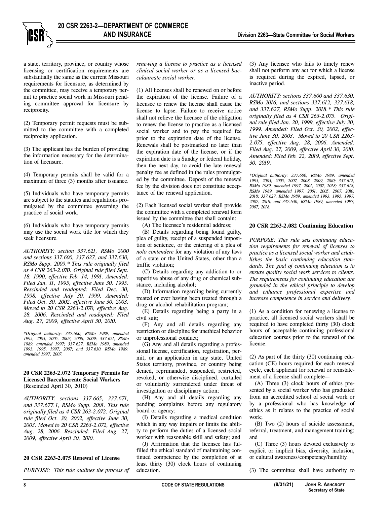

a state, territory, province, or country whose licensing or certification requirements are substantially the same as the current Missouri requirements for licensure, as determined by the committee, may receive a temporary permit to practice social work in Missouri pending committee approval for licensure by reciprocity.

(2) Temporary permit requests must be submitted to the committee with a completed reciprocity application.

(3) The applicant has the burden of providing the information necessary for the determination of licensure.

(4) Temporary permits shall be valid for a maximum of three (3) months after issuance.

(5) Individuals who have temporary permits are subject to the statutes and regulations promulgated by the committee governing the practice of social work.

(6) Individuals who have temporary permits may use the social work title for which they seek licensure.

*AUTHORITY: section 337.621, RSMo 2000 and sections 337.600, 337.627, and 337.630, RSMo Supp. 2009.\* This rule originally filed as 4 CSR 263-2.070. Original rule filed Sept. 18, 1990, effective Feb. 14, 1991. Amended: Filed Jan. 11, 1995, effective June 30, 1995. Rescinded and readopted: Filed Dec. 30, 1998, effective July 30, 1999. Amended: Filed Oct. 30, 2002, effective June 30, 2003. Moved to 20 CSR 2263-2.070, effective Aug. 28, 2006. Rescinded and readopted: Filed Aug. 27, 2009, effective April 30, 2010.* 

*\*Original authority: 337.600, RSMo 1989, amended 1995, 2003, 2005, 2007, 2008, 2009; 337.621, RSMo 1989, amended 1997; 337.627, RSMo 1989, amended 1993, 1995, 1997, 2007; and 337.630, RSMo 1989, amended 1997, 2007.* 

#### **20 CSR 2263-2.072 Temporary Permits for Licensed Baccalaureate Social Workers**  (Rescinded April 30, 2010)

*AUTHORITY: sections 337.665, 337.671, and 337.677.1, RSMo Supp. 2001. This rule originally filed as 4 CSR 263-2.072. Original rule filed Oct. 30, 2002, effective June 30, 2003. Moved to 20 CSR 2263-2.072, effective Aug. 28, 2006. Rescinded: Filed Aug. 27, 2009, effective April 30, 2010.* 

#### **20 CSR 2263-2.075 Renewal of License**

*PURPOSE: This rule outlines the process of* 

*renewing a license to practice as a licensed clinical social worker or as a licensed baccalaureate social worker.*

(1) All licenses shall be renewed on or before the expiration of the license. Failure of a licensee to renew the license shall cause the license to lapse. Failure to receive notice shall not relieve the licensee of the obligation to renew the license to practice as a licensed social worker and to pay the required fee prior to the expiration date of the license. Renewals shall be postmarked no later than the expiration date of the license, or if the expiration date is a Sunday or federal holiday, then the next day, to avoid the late renewal penalty fee as defined in the rules promulgated by the committee. Deposit of the renewal fee by the division does not constitute acceptance of the renewal application.

(2) Each licensed social worker shall provide the committee with a completed renewal form issued by the committee that shall contain:

(A) The licensee's residential address;

(B) Details regarding being found guilty, plea of guilty, receipt of a suspended imposition of sentence, or the entering of a plea of *nolo contendere* for any violation of any laws of a state or the United States, other than a

(C) Details regarding any addiction to or repetitive abuse of any drug or chemical substance, including alcohol;

traffic violation;

(D) Information regarding being currently treated or ever having been treated through a drug or alcohol rehabilitation program;

(E) Details regarding being a party in a civil suit;

(F) Any and all details regarding any restriction or discipline for unethical behavior or unprofessional conduct;

(G) Any and all details regarding a professional license, certification, registration, permit, or an application in any state, United States territory, province, or country being denied, reprimanded, suspended, restricted, revoked, or otherwise disciplined, curtailed or voluntarily surrendered under threat of investigation or disciplinary action;

(H) Any and all details regarding any pending complaints before any regulatory board or agency;

(I) Details regarding a medical condition which in any way impairs or limits the ability to perform the duties of a licensed social worker with reasonable skill and safety; and

(J) Affirmation that the licensee has fulfilled the ethical standard of maintaining continued competence by the completion of at least thirty (30) clock hours of continuing education.

(3) Any licensee who fails to timely renew shall not perform any act for which a license is required during the expired, lapsed, or inactive period.

*AUTHORITY: sections 337.600 and 337.630, RSMo 2016, and sections 337.612, 337.618, and 337.627, RSMo Supp. 2018.\* This rule originally filed as 4 CSR 263-2.075. Original rule filed Jan. 20, 1999, effective July 30, 1999. Amended: Filed Oct. 30, 2002, effective June 30, 2003. Moved to 20 CSR 2263- 2.075, effective Aug. 28, 2006. Amended: Filed Aug. 27, 2009, effective April 30, 2010. Amended: Filed Feb. 22, 2019, effective Sept. 30, 2019.* 

*\*Original authority: 337.600, RSMo 1989, amended 1995, 2003, 2005, 2007, 2008, 2009, 2010; 337.612, RSMo 1989, amended 1997, 2001, 2007, 2018; 337.618, RSMo 1989, amended 1997, 2001, 2005, 2007, 2010, 2018; 337.627, RSMo 1989, amended 1993, 1995, 1997, 2007, 2018; and 337.630, RSMo 1989, amended 1997, 2007, 2018.* 

#### **20 CSR 2263-2.082 Continuing Education**

*PURPOSE: This rule sets continuing education requirements for renewal of licenses to practice as a licensed social worker and establishes the basic continuing education standards. The goal of continuing education is to ensure quality social work services to clients. The requirements for continuing education are grounded in the ethical principle to develop and enhance professional expertise and increase competence in service and delivery.* 

(1) As a condition for renewing a license to practice, all licensed social workers shall be required to have completed thirty (30) clock hours of acceptable continuing professional education courses prior to the renewal of the license.

(2) As part of the thirty (30) continuing education (CE) hours required for each renewal cycle, each applicant for renewal or reinstatement of a license shall complete—

(A) Three (3) clock hours of ethics presented by a social worker who has graduated from an accredited school of social work or by a professional who has knowledge of ethics as it relates to the practice of social work;

(B) Two (2) hours of suicide assessment, referral, treatment, and management training; and

(C) Three (3) hours devoted exclusively to explicit or implicit bias, diversity, inclusion, or cultural awareness/competency/humility.

(3) The committee shall have authority to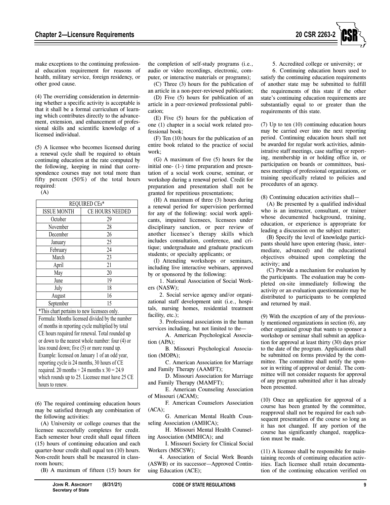

make exceptions to the continuing professional education requirement for reasons of health, military service, foreign residency, or other good cause.

(4) The overriding consideration in determining whether a specific activity is acceptable is that it shall be a formal curriculum of learning which contributes directly to the advancement, extension, and enhancement of professional skills and scientific knowledge of a licensed individual.

(5) A licensee who becomes licensed during a renewal cycle shall be required to obtain continuing education at the rate computed by the following, keeping in mind that correspondence courses may not total more than fifty percent (50%) of the total hours required:

(A)

| REQUIRED CEs*                                    |                 |  |  |  |
|--------------------------------------------------|-----------------|--|--|--|
| <b>ISSUE MONTH</b>                               | CE HOURS NEEDED |  |  |  |
| October                                          | 29              |  |  |  |
| November                                         | 28              |  |  |  |
| December                                         | 26              |  |  |  |
| January                                          | 25              |  |  |  |
| February                                         | 24              |  |  |  |
| March                                            | 23              |  |  |  |
| April                                            | 21              |  |  |  |
| May                                              | 20              |  |  |  |
| June                                             | 19              |  |  |  |
| July                                             | 18              |  |  |  |
| August                                           | 16              |  |  |  |
| September                                        | 15              |  |  |  |
| *This chart pertains to new licensees only.      |                 |  |  |  |
| Formula: Months licensed divided by the number   |                 |  |  |  |
| of months in reporting cycle multiplied by total |                 |  |  |  |
| CE hours required for renewal. Total rounded up  |                 |  |  |  |
| or down to the nearest whole number: four (4) or |                 |  |  |  |
| less round down; five (5) or more round up.      |                 |  |  |  |
| Example: licensed on January 1 of an odd year,   |                 |  |  |  |
| reporting cycle is 24 months, 30 hours of CE     |                 |  |  |  |
| required. 20 months $\div$ 24 months x 30 = 24.9 |                 |  |  |  |
| which rounds up to 25. Licensee must have 25 CE  |                 |  |  |  |

hours to renew.

(6) The required continuing education hours may be satisfied through any combination of the following activities:

(A) University or college courses that the licensee successfully completes for credit. Each semester hour credit shall equal fifteen (15) hours of continuing education and each quarter-hour credit shall equal ten (10) hours. Non-credit hours shall be measured in classroom hours;

(B) A maximum of fifteen (15) hours for

the completion of self-study programs (i.e., audio or video recordings, electronic, computer, or interactive materials or programs);

(C) Three (3) hours for the publication of an article in a non-peer-reviewed publication;

(D) Five (5) hours for publication of an article in a peer-reviewed professional publication;

(E) Five (5) hours for the publication of one (1) chapter in a social work related professional book;

(F) Ten (10) hours for the publication of an entire book related to the practice of social work;

(G) A maximum of five (5) hours for the initial one- (1-) time preparation and presentation of a social work course, seminar, or workshop during a renewal period. Credit for preparation and presentation shall not be granted for repetitious presentations;

(H) A maximum of three (3) hours during a renewal period for supervision performed for any of the following: social work applicants, impaired licensees, licensees under disciplinary sanction, or peer review of another licensee's therapy skills which includes consultation, conference, and critique; undergraduate and graduate practicum students; or specialty applicants; or

(I) Attending workshops or seminars, including live interactive webinars, approved by or sponsored by the following:

1. National Association of Social Workers (NASW);

2. Social service agency and/or organizational staff development unit (i.e., hospitals, nursing homes, residential treatment facility, etc.);

3. Professional associations in the human services including, but not limited to the—

A. American Psychological Association (APA);

B. Missouri Psychological Association (MOPA);

C. American Association for Marriage and Family Therapy (AAMFT);

D. Missouri Association for Marriage and Family Therapy (MAMFT);

E. American Counseling Association of Missouri (ACAM);

F. American Counselors Association (ACA);

G. American Mental Health Counseling Association (AMHCA);

H. Missouri Mental Health Counseling Association (MMHCA); and

I. Missouri Society for Clinical Social Workers (MSCSW);

4. Association of Social Work Boards (ASWB) or its successor—Approved Continuing Education (ACE);

5. Accredited college or university; or 6. Continuing education hours used to satisfy the continuing education requirements of another state may be submitted to fulfill the requirements of this state if the other state's continuing education requirements are substantially equal to or greater than the requirements of this state.

(7) Up to ten (10) continuing education hours may be carried over into the next reporting period. Continuing education hours shall not be awarded for regular work activities, administrative staff meetings, case staffing or reporting, membership in or holding office in, or participation on boards or committees, business meetings of professional organizations, or training specifically related to policies and procedures of an agency.

(8) Continuing education activities shall—

(A) Be presented by a qualified individual who is an instructor, consultant, or trainer whose documented background, training, education, or experience is appropriate for leading a discussion on the subject matter;

(B) Specify the level of knowledge participants should have upon entering (basic, intermediate, advanced) and the educational objectives obtained upon completing the activity; and

(C) Provide a mechanism for evaluation by the participants. The evaluation may be completed on-site immediately following the activity or an evaluation questionnaire may be distributed to participants to be completed and returned by mail.

(9) With the exception of any of the previously mentioned organizations in section (6), any other organized group that wants to sponsor a workshop or seminar shall submit an application for approval at least thirty (30) days prior to the date of the program. Applications shall be submitted on forms provided by the committee. The committee shall notify the sponsor in writing of approval or denial. The committee will not consider requests for approval of any program submitted after it has already been presented.

(10) Once an application for approval of a course has been granted by the committee, reapproval shall not be required for each subsequent presentation of the course so long as it has not changed. If any portion of the course has significantly changed, reapplication must be made.

(11) A licensee shall be responsible for maintaining records of continuing education activities. Each licensee shall retain documentation of the continuing education verified on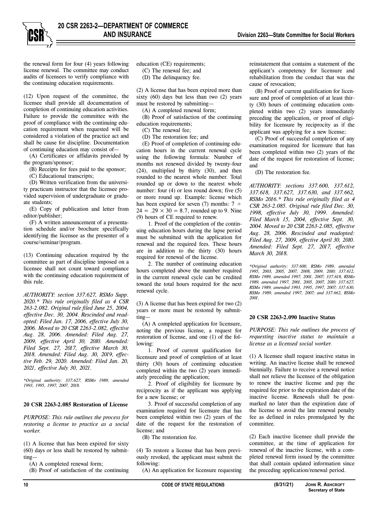**AND INSURANCE Division 2263—State Committee for Social Workers**

the renewal form for four (4) years following license renewal. The committee may conduct audits of licensees to verify compliance with the continuing education requirements.

(12) Upon request of the committee, the licensee shall provide all documentation of completion of continuing education activities. Failure to provide the committee with the proof of compliance with the continuing education requirement when requested will be considered a violation of the practice act and shall be cause for discipline. Documentation of continuing education may consist of—

(A) Certificates or affidavits provided by the program/sponsor;

(B) Receipts for fees paid to the sponsor;

(C) Educational transcripts;

(D) Written verification from the university practicum instructor that the licensee provided supervision of undergraduate or graduate students;

(E) Copy of publication and letter from editor/publisher;

(F) A written announcement of a presentation schedule and/or brochure specifically identifying the licensee as the presenter of a course/seminar/program.

(13) Continuing education required by the committee as part of discipline imposed on a licensee shall not count toward compliance with the continuing education requirement of this rule.

*AUTHORITY: section 337.627, RSMo Supp. 2020.\* This rule originally filed as 4 CSR 263-2.082. Original rule filed June 25, 2004, effective Dec. 30, 2004. Rescinded and readopted: Filed Jan. 17, 2006, effective July 30, 2006. Moved to 20 CSR 2263-2.082, effective Aug. 28, 2006. Amended: Filed Aug. 27, 2009, effective April 30, 2010. Amended: Filed Sept. 27, 2017, effective March 30, 2018. Amended: Filed Aug. 30, 2019, effective Feb. 29, 2020. Amended: Filed Jan. 20, 2021, effective July 30, 2021.* 

*\*Original authority: 337.627, RSMo 1989, amended 1993, 1995, 1997, 2007, 2018.* 

#### **20 CSR 2263-2.085 Restoration of License**

*PURPOSE: This rule outlines the process for restoring a license to practice as a social worker.* 

(1) A license that has been expired for sixty (60) days or less shall be restored by submitting—

(A) A completed renewal form;

(B) Proof of satisfaction of the continuing

education (CE) requirements; (C) The renewal fee; and

(D) The delinquency fee.

(2) A license that has been expired more than sixty  $(60)$  days but less than two  $(2)$  years must be restored by submitting—

(A) A completed renewal form;

(B) Proof of satisfaction of the continuing education requirements;

(C) The renewal fee;

(D) The restoration fee; and

(E) Proof of completion of continuing education hours in the current renewal cycle using the following formula: Number of months not renewed divided by twenty-four (24), multiplied by thirty (30), and then rounded to the nearest whole number. Total rounded up or down to the nearest whole number: four (4) or less round down; five (5) or more round up. Example: license which has been expired for seven (7) months:  $7 \div$  $24 = .29 \times 30 = 8.7$ , rounded up to 9. Nine (9) hours of CE required to renew.

1. Proof of the completion of the continuing education hours during the lapse period must be submitted with the application for renewal and the required fees. These hours are in addition to the thirty (30) hours required for renewal of the license.

2. The number of continuing education hours completed above the number required in the current renewal cycle can be credited toward the total hours required for the next renewal cycle.

(3) A license that has been expired for two (2) years or more must be restored by submitting—

(A) A completed application for licensure, noting the previous license, a request for restoration of license, and one (1) of the following:

1. Proof of current qualification for licensure and proof of completion of at least thirty (30) hours of continuing education completed within the two (2) years immediately preceding the application;

2. Proof of eligibility for licensure by reciprocity as if the applicant was applying for a new license; or

3. Proof of successful completion of any examination required for licensure that has been completed within two (2) years of the date of the request for the restoration of license; and

(B) The restoration fee.

(4) To restore a license that has been previously revoked, the applicant must submit the following:

(A) An application for licensure requesting

reinstatement that contains a statement of the applicant's competency for licensure and rehabilitation from the conduct that was the cause of revocation;

(B) Proof of current qualification for licensure and proof of completion of at least thirty (30) hours of continuing education completed within two (2) years immediately preceding the application, or proof of eligibility for licensure by reciprocity as if the applicant was applying for a new license;

(C) Proof of successful completion of any examination required for licensure that has been completed within two (2) years of the date of the request for restoration of license; and

(D) The restoration fee.

*AUTHORITY: sections 337.600, 337.612, 337.618, 337.627, 337.630, and 337.662, RSMo 2016.\* This rule originally filed as 4 CSR 263-2.085. Original rule filed Dec. 30, 1998, effective July 30, 1999. Amended: Filed March 15, 2004, effective Sept. 30, 2004. Moved to 20 CSR 2263-2.085, effective Aug. 28, 2006. Rescinded and readopted: Filed Aug. 27, 2009, effective April 30, 2010. Amended: Filed Sept. 27, 2017, effective March 30, 2018.* 

*\*Original authority: 337.600, RSMo 1989, amended 1995, 2003, 2005, 2007, 2008, 2009, 2010; 337.612, RSMo 1989, amended 1997, 2001, 2007; 337.618, RSMo 1989, amended 1997, 2001, 2005, 2007, 2010; 337.627, RSMo 1989, amended 1993, 1995, 1997, 2007; 337.630, RSMo 1989, amended 1997, 2007; and 337.662, RSMo 2001.* 

#### **20 CSR 2263-2.090 Inactive Status**

*PURPOSE: This rule outlines the process of requesting inactive status to maintain a license as a licensed social worker.* 

(1) A licensee shall request inactive status in writing. An inactive license shall be renewed biennially. Failure to receive a renewal notice shall not relieve the licensee of the obligation to renew the inactive license and pay the required fee prior to the expiration date of the inactive license. Renewals shall be postmarked no later than the expiration date of the license to avoid the late renewal penalty fee as defined in rules promulgated by the committee.

(2) Each inactive licensee shall provide the committee, at the time of application for renewal of the inactive license, with a completed renewal form issued by the committee that shall contain updated information since the preceding application/renewal period.